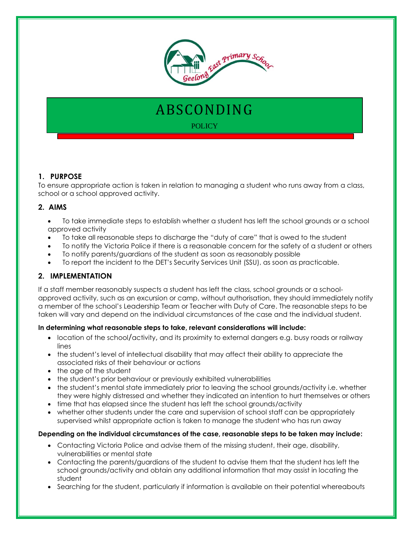

# ABSCONDING **POLICY**

# **1. PURPOSE**

To ensure appropriate action is taken in relation to managing a student who runs away from a class, school or a school approved activity.

## **2. AIMS**

- To take immediate steps to establish whether a student has left the school grounds or a school approved activity
- To take all reasonable steps to discharge the "duty of care" that is owed to the student
- To notify the Victoria Police if there is a reasonable concern for the safety of a student or others
- To notify parents/guardians of the student as soon as reasonably possible
- To report the incident to the DET's Security Services Unit (SSU), as soon as practicable.

# **2. IMPLEMENTATION**

If a staff member reasonably suspects a student has left the class, school grounds or a schoolapproved activity, such as an excursion or camp, without authorisation, they should immediately notify a member of the school's Leadership Team or Teacher with Duty of Care. The reasonable steps to be taken will vary and depend on the individual circumstances of the case and the individual student.

#### **In determining what reasonable steps to take, relevant considerations will include:**

- location of the school/activity, and its proximity to external dangers e.g. busy roads or railway lines
- the student's level of intellectual disability that may affect their ability to appreciate the associated risks of their behaviour or actions
- the age of the student
- the student's prior behaviour or previously exhibited vulnerabilities
- the student's mental state immediately prior to leaving the school grounds/activity i.e. whether they were highly distressed and whether they indicated an intention to hurt themselves or others
- time that has elapsed since the student has left the school grounds/activity
- whether other students under the care and supervision of school staff can be appropriately supervised whilst appropriate action is taken to manage the student who has run away

#### **Depending on the individual circumstances of the case, reasonable steps to be taken may include:**

- Contacting Victoria Police and advise them of the missing student, their age, disability, vulnerabilities or mental state
- Contacting the parents/guardians of the student to advise them that the student has left the school grounds/activity and obtain any additional information that may assist in locating the student
- Searching for the student, particularly if information is available on their potential whereabouts